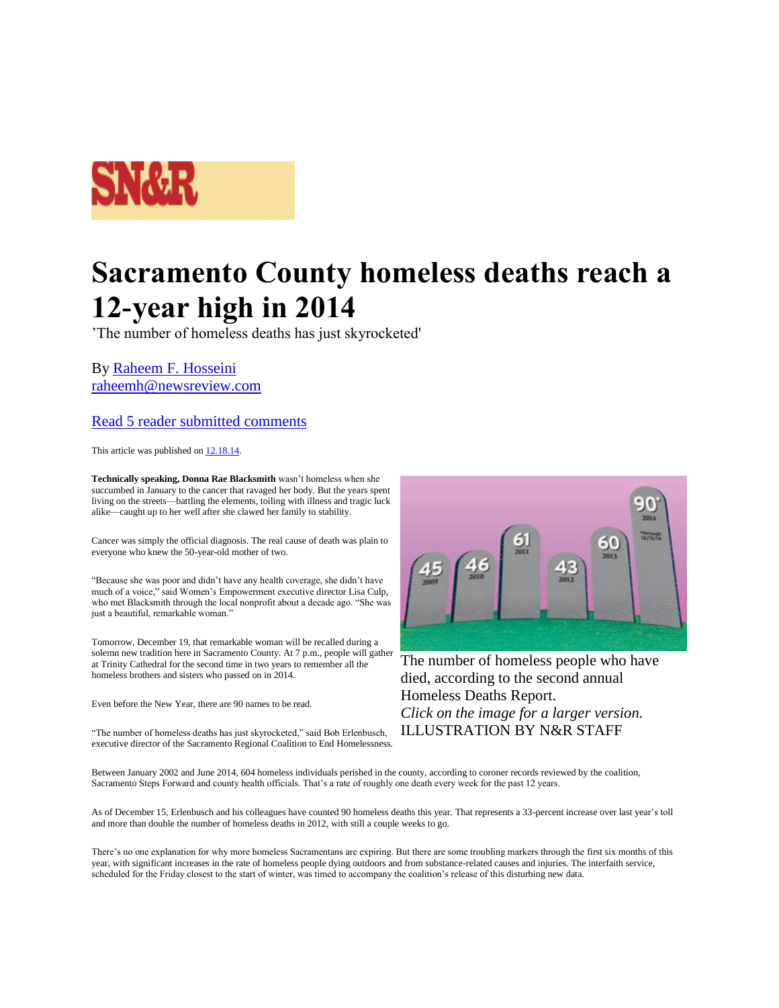

## **Sacramento County homeless deaths reach a 12-year high in 2014**

'The number of homeless deaths has just skyrocketed'

By [Raheem F. Hosseini](http://www.newsreview.com/sacramento/raheem-f-hosseini/author) [raheemh@newsreview.com](http://www.newsreview.com/sacramento/Contact?content=15782152)

## [Read 5 reader submitted comments](http://www.newsreview.com/sacramento/sacramento-county-homeless-deaths-reach/content?oid=15782152#readComment)

This article was published on [12.18.14.](http://www.newsreview.com/sacramento/2014-12-18/archive) 

**Technically speaking, Donna Rae Blacksmith** wasn't homeless when she succumbed in January to the cancer that ravaged her body. But the years spent living on the streets—battling the elements, toiling with illness and tragic luck alike—caught up to her well after she clawed her family to stability.

Cancer was simply the official diagnosis. The real cause of death was plain to everyone who knew the 50-year-old mother of two.

"Because she was poor and didn't have any health coverage, she didn't have much of a voice," said Women's Empowerment executive director Lisa Culp, who met Blacksmith through the local nonprofit about a decade ago. "She was just a beautiful, remarkable woman."

Tomorrow, December 19, that remarkable woman will be recalled during a solemn new tradition here in Sacramento County. At 7 p.m., people will gather at Trinity Cathedral for the second time in two years to remember all the homeless brothers and sisters who passed on in 2014.

Even before the New Year, there are 90 names to be read.

"The number of homeless deaths has just skyrocketed," said Bob Erlenbusch, executive director of the Sacramento Regional Coalition to End Homelessness.



The number of homeless people who have died, according to the second annual Homeless Deaths Report. *Click on the image for a larger version.* ILLUSTRATION BY N&R STAFF

Between January 2002 and June 2014, 604 homeless individuals perished in the county, according to coroner records reviewed by the coalition, Sacramento Steps Forward and county health officials. That's a rate of roughly one death every week for the past 12 years.

As of December 15, Erlenbusch and his colleagues have counted 90 homeless deaths this year. That represents a 33-percent increase over last year's toll and more than double the number of homeless deaths in 2012, with still a couple weeks to go.

There's no one explanation for why more homeless Sacramentans are expiring. But there are some troubling markers through the first six months of this year, with significant increases in the rate of homeless people dying outdoors and from substance-related causes and injuries. The interfaith service, scheduled for the Friday closest to the start of winter, was timed to accompany the coalition's release of this disturbing new data.